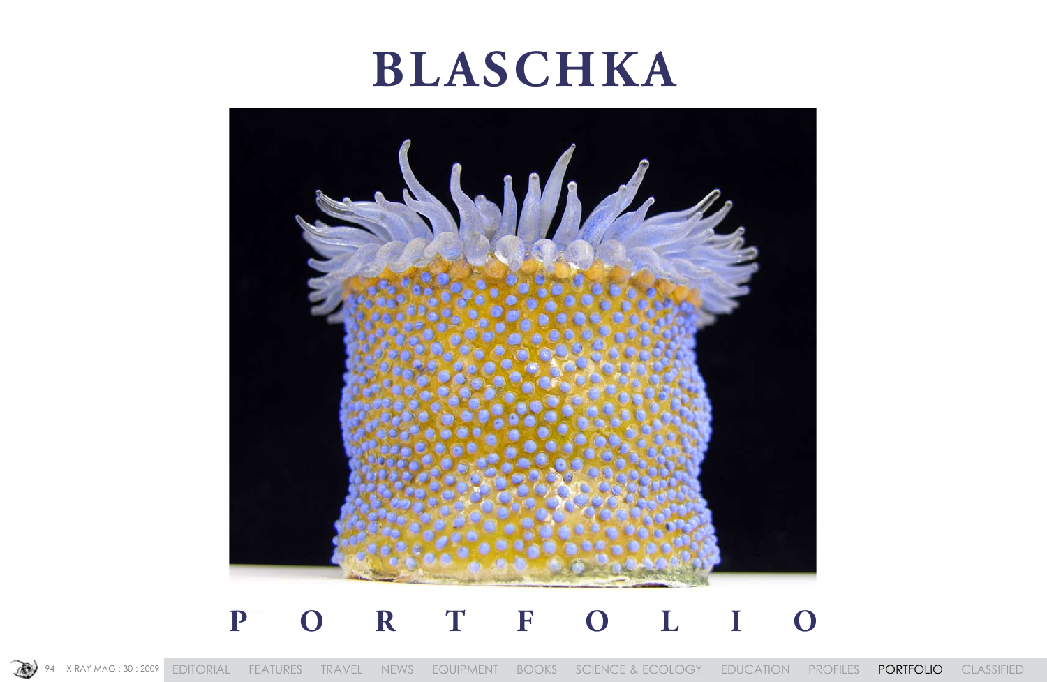# **BLASCHKA**



## PORTFOLIO



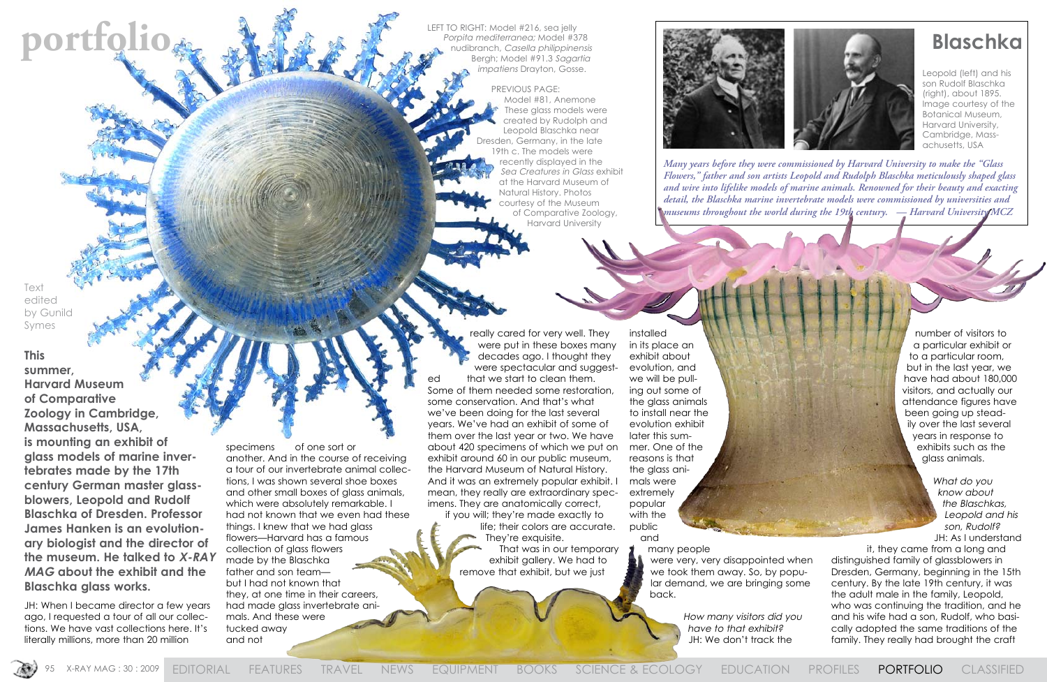Leopold (left) and his son Rudolf Blaschka (right), about 1895. Image courtesy of the Botanical Museum, Harvard University, Cambridge, Massachusetts, USA

**portfolio de and the content of the content of the content in Model #216, seq jelly<br>Register and the philippinensis and philippinensis <b>Blaschka** LEFT TO RIGHT: Model #216, sea jelly Porpita mediterranea; Model #378 nudibranch, Casella philippinensis Bergh; Model #91.3 Sagartia impatiens Drayton, Gosse.

> PREVIOUS PAGE: Model #81, Anemone These glass models were created by Rudolph and Leopold Blaschka near Dresden, Germany, in the late 19th c. The models were recently displayed in the Sea Creatures in Glass exhibit at the Harvard Museum of Natural History. Photos courtesy of the Museum of Comparative Zoology, Harvard University



specimens of one sort or another. And in the course of receiving a tour of our invertebrate animal collections, I was shown several shoe boxes and other small boxes of glass animals, which were absolutely remarkable. I had not known that we even had these things. I knew that we had glass flowers—Harvard has a famous collection of glass flowers made by the Blaschka father and son team but I had not known that they, at one time in their careers, had made glass invertebrate animals. And these were tucked away and not

really cared for very well. They were put in these boxes many decades ago. I thought they were spectacular and suggested that we start to clean them. Some of them needed some restoration, some conservation. And that's what we've been doing for the last several years. We've had an exhibit of some of them over the last year or two. We have about 420 specimens of which we put on exhibit around 60 in our public museum, the Harvard Museum of Natural History. And it was an extremely popular exhibit. I mean, they really are extraordinary specimens. They are anatomically correct,

if you will; they're made exactly to life; their colors are accurate. They're exquisite. That was in our temporary exhibit gallery. We had to remove that exhibit, but we just

installed in its place an exhibit about evolution, and we will be pulling out some of the glass animals to install near the evolution exhibit later this summer. One of the reasons is that the glass animals were extremely popular with the public

and

many people were very, very disappointed when we took them away. So, by popular demand, we are bringing some back.

> How many visitors did you have to that exhibit? JH: We don't track the



number of visitors to a particular exhibit or to a particular room, but in the last year, we have had about 180,000 visitors, and actually our attendance figures have been going up steadily over the last several years in response to exhibits such as the glass animals.

> What do you know about the Blaschkas, Leopold and his son, Rudolf?

JH: As I understand it, they came from a long and distinguished family of glassblowers in Dresden, Germany, beginning in the 15th century. By the late 19th century, it was the adult male in the family, Leopold, who was continuing the tradition, and he and his wife had a son, Rudolf, who basically adopted the same traditions of the family. They really had brought the craft

*Many years before they were commissioned by Harvard University to make the "Glass Flowers," father and son artists Leopold and Rudolph Blaschka meticulously shaped glass and wire into lifelike models of marine animals. Renowned for their beauty and exacting detail, the Blaschka marine invertebrate models were commissioned by universities and museums throughout the world during the 19th century. — Harvard University MCZ* 

Text edited by Gunild Symes

## **This**

**summer, Harvard Museum of Comparative Zoology in Cambridge, Massachusetts, USA, is mounting an exhibit of glass models of marine invertebrates made by the 17th century German master glassblowers, Leopold and Rudolf Blaschka of Dresden. Professor James Hanken is an evolutionary biologist and the director of the museum. He talked to X-RAY MAG about the exhibit and the Blaschka glass works.** 

JH: When I became director a few years ago, I requested a tour of all our collections. We have vast collections here. It's literally millions, more than 20 million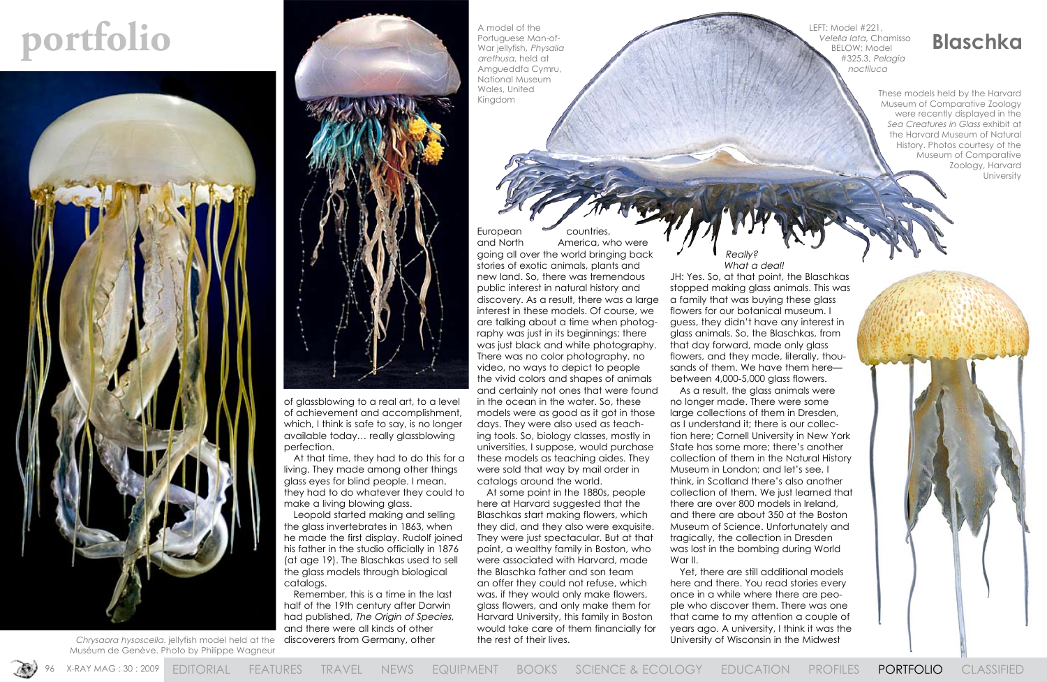

**portfolio Blaschka**<br> **Portuguese Man-of-**<br> **Portuguese Man-of-**<br> **Portuguese Man-of-**<br> **Portuguese Man-of-**<br> **Portuguese Man-of-**<br> **Blaschka** 

of glassblowing to a real art, to a level of achievement and accomplishment, which, I think is safe to say, is no longer available today… really glassblowing perfection.

At that time, they had to do this for a living. They made among other things glass eyes for blind people. I mean, they had to do whatever they could to make a living blowing glass.

Leopold started making and selling the glass invertebrates in 1863, when he made the first display. Rudolf joined his father in the studio officially in 1876 (at age 19). The Blaschkas used to sell the glass models through biological catalogs.

Remember, this is a time in the last half of the 19th century after Darwin had published, The Origin of Species, and there were all kinds of other discoverers from Germany, other

European and North America, who were going all over the world bringing back stories of exotic animals, plants and new land. So, there was tremendous public interest in natural history and discovery. As a result, there was a large interest in these models. Of course, we are talking about a time when photography was just in its beginnings; there was just black and white photography. There was no color photography, no video, no ways to depict to people the vivid colors and shapes of animals and certainly not ones that were found in the ocean in the water. So, these models were as good as it got in those days. They were also used as teaching tools. So, biology classes, mostly in universities, I suppose, would purchase these models as teaching aides. They were sold that way by mail order in catalogs around the world.

### Really? What a deal.

These models held by the Harvard Museum of Comparative Zoology were recently displayed in the Sea Creatures in Glass exhibit at the Harvard Museum of Natural History. Photos courtesy of the Museum of Comparative Zoology, Harvard **University** 



At some point in the 1880s, people here at Harvard suggested that the Blaschkas start making flowers, which they did, and they also were exquisite. They were just spectacular. But at that point, a wealthy family in Boston, who were associated with Harvard, made the Blaschka father and son team an offer they could not refuse, which was, if they would only make flowers, glass flowers, and only make them for Harvard University, this family in Boston would take care of them financially for the rest of their lives.

JH: Yes. So, at that point, the Blaschkas stopped making glass animals. This was flowers for our botanical museum. I guess, they didn't have any interest in glass animals. So, the Blaschkas, from flowers, and they made, literally, thousands of them. We have them here— As a result, the glass animals were no longer made. There were some as I understand it; there is our collection here; Cornell University in New York collection of them in the Natural History Museum in London; and let's see, I think, in Scotland there's also another collection of them. We just learned that there are over 800 models in Ireland, and there are about 350 at the Boston tragically, the collection in Dresden was lost in the bombing during World

a family that was buying these glass that day forward, made only glass between 4,000-5,000 glass flowers. large collections of them in Dresden, State has some more; there's another Museum of Science. Unfortunately and War II.

Yet, there are still additional models here and there. You read stories every once in a while where there are people who discover them. There was one that came to my attention a couple of years ago. A university, I think it was the University of Wisconsin in the Midwest

Chrysaora hysoscella. jellyfish model held at the Muséum de Genève. Photo by Philippe Wagneur



A model of the Portuguese Man-of-War jellyfish, Physalia arethusa, held at Amgueddfa Cymru, National Museum Wales, United Kingdom

LEFT: Model #221, Velella lata, Chamisso BELOW: Model #325.3, Pelagia noctiluca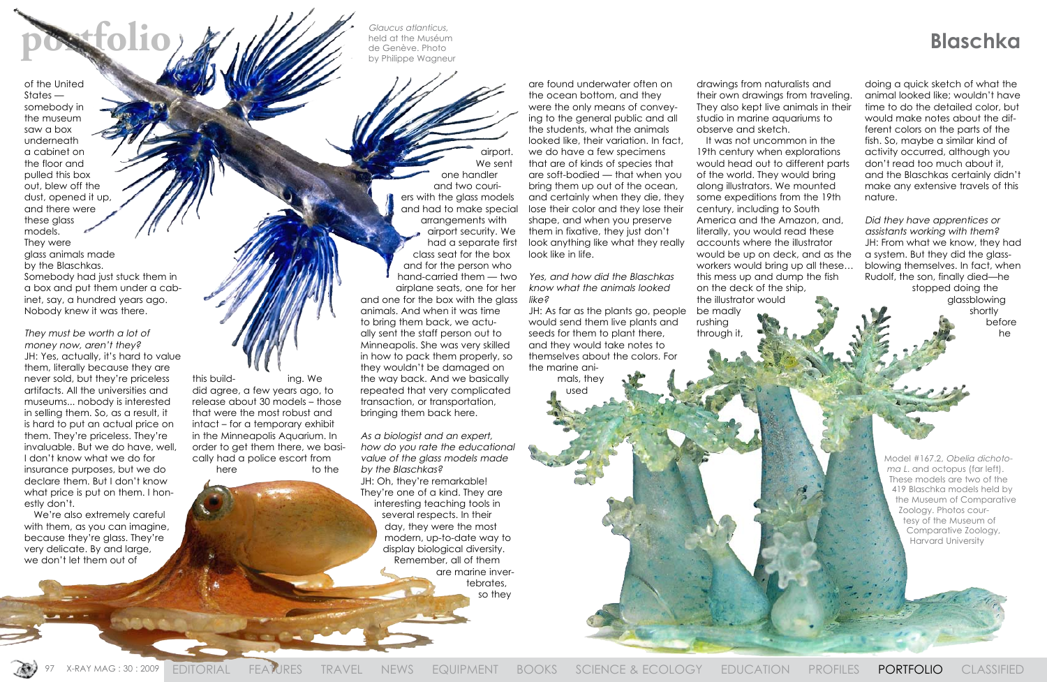**portfolio blaschka**<br>**portfolio blaschka**<br>**portfolio b proper secure Photo**<br>**portfolio b proper Wagneur** Glaucus atlanticus, held at the Muséum de Genève. Photo by Philippe Wagneur

> Model #167.2, Obelia dichotoma L. and octopus (far left). These models are two of the 419 Blaschka models held by the Museum of Comparative Zoology. Photos courtesy of the Museum of Comparative Zoology, Harvard University

of the United States somebody in the museum saw a box underneath a cabinet on the floor and pulled this box out, blew off the dust, opened it up, and there were these glass models.

They were glass animals made by the Blaschkas. Somebody had just stuck them in a box and put them under a cabinet, say, a hundred years ago. Nobody knew it was there.

> this build- ing. We did agree, a few years ago, to release about 30 models – those that were the most robust and intact – for a temporary exhibit in the Minneapolis Aquarium. In order to get them there, we basically had a police escort from here to the

They must be worth a lot of money now, aren't they? JH: Yes, actually, it's hard to value them, literally because they are never sold, but they're priceless artifacts. All the universities and museums... nobody is interested in selling them. So, as a result, it is hard to put an actual price on them. They're priceless. They're invaluable. But we do have, well, I don't know what we do for insurance purposes, but we do declare them. But I don't know what price is put on them. I honestly don't.

We're also extremely careful with them, as you can imagine, because they're glass. They're very delicate. By and large, we don't let them out of

airport. We sent one handler and two couriers with the glass models and had to make special arrangements with airport security. We had a separate first class seat for the box and for the person who hand-carried them — two airplane seats, one for her and one for the box with the glass animals. And when it was time to bring them back, we actually sent the staff person out to Minneapolis. She was very skilled in how to pack them properly, so they wouldn't be damaged on the way back. And we basically repeated that very complicated transaction, or transportation, bringing them back here.

As a biologist and an expert, how do you rate the educational value of the glass models made by the Blaschkas? JH: Oh, they're remarkable! They're one of a kind. They are interesting teaching tools in several respects. In their day, they were the most modern, up-to-date way to display biological diversity. Remember, all of them are marine invertebrates, so they

are found underwater often on the ocean bottom, and they were the only means of conveying to the general public and all the students, what the animals looked like, their variation. In fact, we do have a few specimens that are of kinds of species that are soft-bodied — that when you bring them up out of the ocean, and certainly when they die, they lose their color and they lose their shape, and when you preserve them in fixative, they just don't look anything like what they really look like in life.

### Yes, and how did the Blaschkas know what the animals looked like?

JH: As far as the plants go, people would send them live plants and seeds for them to plant there, and they would take notes to themselves about the colors. For the marine animals, they

used

drawings from naturalists and their own drawings from traveling. They also kept live animals in their studio in marine aquariums to observe and sketch.

It was not uncommon in the 19th century when explorations would head out to different parts of the world. They would bring along illustrators. We mounted some expeditions from the 19th century, including to South America and the Amazon, and, literally, you would read these accounts where the illustrator would be up on deck, and as the workers would bring up all these… this mess up and dump the fish on the deck of the ship, the illustrator would

be madly rushing through it,

97 X-RAY MAG : 30 : 2009 EDITORIAL FEATURES TRAVEL NEWS EQUIPMENT BOOKS SCIENCE & ECOLOGY EDUCATION PROFILES **PORTFOLIO** CLASSIFIED

doing a quick sketch of what the animal looked like; wouldn't have time to do the detailed color, but would make notes about the different colors on the parts of the fish. So, maybe a similar kind of activity occurred, although you don't read too much about it, and the Blaschkas certainly didn't make any extensive travels of this nature.

Did they have apprentices or assistants working with them? JH: From what we know, they had a system. But they did the glassblowing themselves. In fact, when Rudolf, the son, finally died—he

stopped doing the glassblowing shortly before he